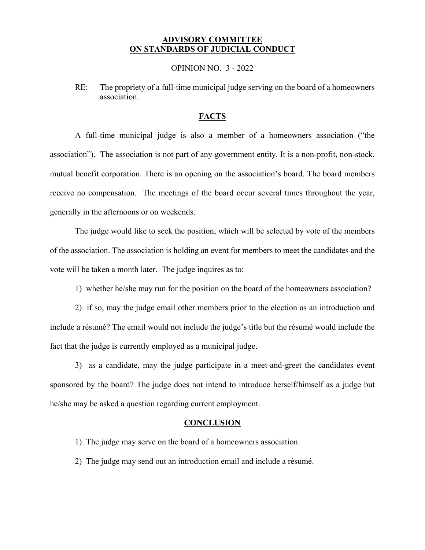## **ADVISORY COMMITTEE ON STANDARDS OF JUDICIAL CONDUCT**

OPINION NO. 3 - 2022

RE: The propriety of a full-time municipal judge serving on the board of a homeowners association.

# **FACTS**

A full-time municipal judge is also a member of a homeowners association ("the association"). The association is not part of any government entity. It is a non-profit, non-stock, mutual benefit corporation. There is an opening on the association's board. The board members receive no compensation. The meetings of the board occur several times throughout the year, generally in the afternoons or on weekends.

The judge would like to seek the position, which will be selected by vote of the members of the association. The association is holding an event for members to meet the candidates and the vote will be taken a month later. The judge inquires as to:

1) whether he/she may run for the position on the board of the homeowners association?

2) if so, may the judge email other members prior to the election as an introduction and include a résumé? The email would not include the judge's title but the résumé would include the fact that the judge is currently employed as a municipal judge.

3) as a candidate, may the judge participate in a meet-and-greet the candidates event sponsored by the board? The judge does not intend to introduce herself/himself as a judge but he/she may be asked a question regarding current employment.

#### **CONCLUSION**

- 1) The judge may serve on the board of a homeowners association.
- 2) The judge may send out an introduction email and include a résumé.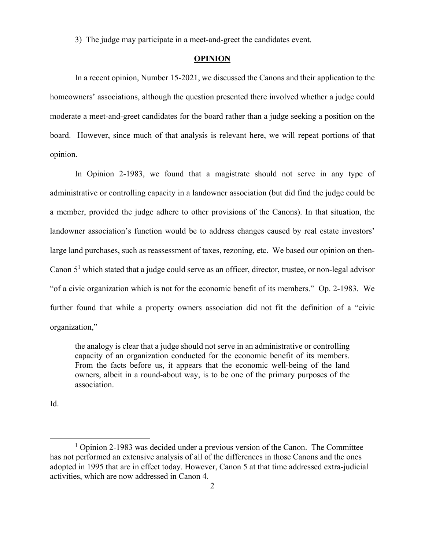3) The judge may participate in a meet-and-greet the candidates event.

## **OPINION**

In a recent opinion, Number 15-2021, we discussed the Canons and their application to the homeowners' associations, although the question presented there involved whether a judge could moderate a meet-and-greet candidates for the board rather than a judge seeking a position on the board. However, since much of that analysis is relevant here, we will repeat portions of that opinion.

In Opinion 2-1983, we found that a magistrate should not serve in any type of administrative or controlling capacity in a landowner association (but did find the judge could be a member, provided the judge adhere to other provisions of the Canons). In that situation, the landowner association's function would be to address changes caused by real estate investors' large land purchases, such as reassessment of taxes, rezoning, etc. We based our opinion on then-Canon  $5<sup>1</sup>$  which stated that a judge could serve as an officer, director, trustee, or non-legal advisor "of a civic organization which is not for the economic benefit of its members." Op. 2-1983. We further found that while a property owners association did not fit the definition of a "civic organization,"

the analogy is clear that a judge should not serve in an administrative or controlling capacity of an organization conducted for the economic benefit of its members. From the facts before us, it appears that the economic well-being of the land owners, albeit in a round-about way, is to be one of the primary purposes of the association.

Id.

 $\overline{a}$ 

<sup>&</sup>lt;sup>1</sup> Opinion 2-1983 was decided under a previous version of the Canon. The Committee has not performed an extensive analysis of all of the differences in those Canons and the ones adopted in 1995 that are in effect today. However, Canon 5 at that time addressed extra-judicial activities, which are now addressed in Canon 4.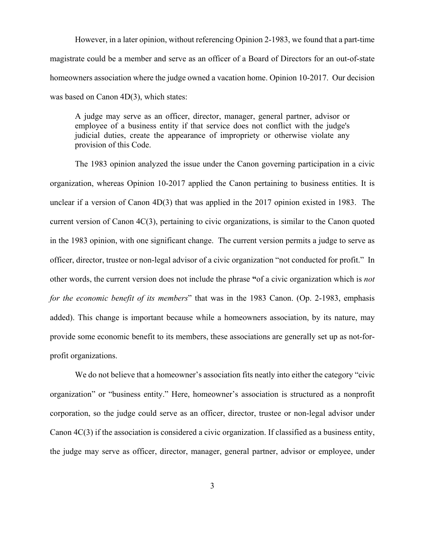However, in a later opinion, without referencing Opinion 2-1983, we found that a part-time magistrate could be a member and serve as an officer of a Board of Directors for an out-of-state homeowners association where the judge owned a vacation home. Opinion 10-2017. Our decision was based on Canon 4D(3), which states:

A judge may serve as an officer, director, manager, general partner, advisor or employee of a business entity if that service does not conflict with the judge's judicial duties, create the appearance of impropriety or otherwise violate any provision of this Code.

The 1983 opinion analyzed the issue under the Canon governing participation in a civic organization, whereas Opinion 10-2017 applied the Canon pertaining to business entities. It is unclear if a version of Canon 4D(3) that was applied in the 2017 opinion existed in 1983. The current version of Canon 4C(3), pertaining to civic organizations, is similar to the Canon quoted in the 1983 opinion, with one significant change. The current version permits a judge to serve as officer, director, trustee or non-legal advisor of a civic organization "not conducted for profit." In other words, the current version does not include the phrase **"**of a civic organization which is *not for the economic benefit of its members*" that was in the 1983 Canon. (Op. 2-1983, emphasis added). This change is important because while a homeowners association, by its nature, may provide some economic benefit to its members, these associations are generally set up as not-forprofit organizations.

We do not believe that a homeowner's association fits neatly into either the category "civic organization" or "business entity." Here, homeowner's association is structured as a nonprofit corporation, so the judge could serve as an officer, director, trustee or non-legal advisor under Canon 4C(3) if the association is considered a civic organization. If classified as a business entity, the judge may serve as officer, director, manager, general partner, advisor or employee, under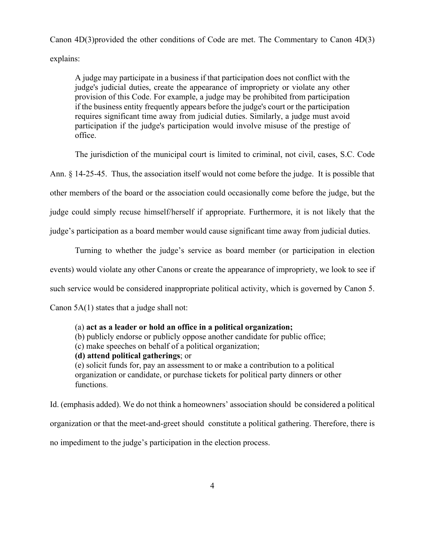Canon 4D(3)provided the other conditions of Code are met. The Commentary to Canon 4D(3) explains:

A judge may participate in a business if that participation does not conflict with the judge's judicial duties, create the appearance of impropriety or violate any other provision of this Code. For example, a judge may be prohibited from participation if the business entity frequently appears before the judge's court or the participation requires significant time away from judicial duties. Similarly, a judge must avoid participation if the judge's participation would involve misuse of the prestige of office.

The jurisdiction of the municipal court is limited to criminal, not civil, cases, S.C. Code

Ann. § 14-25-45. Thus, the association itself would not come before the judge. It is possible that

other members of the board or the association could occasionally come before the judge, but the

judge could simply recuse himself/herself if appropriate. Furthermore, it is not likely that the

judge's participation as a board member would cause significant time away from judicial duties.

Turning to whether the judge's service as board member (or participation in election events) would violate any other Canons or create the appearance of impropriety, we look to see if such service would be considered inappropriate political activity, which is governed by Canon 5.

Canon 5A(1) states that a judge shall not:

## (a) **act as a leader or hold an office in a political organization;**

(b) publicly endorse or publicly oppose another candidate for public office;

(c) make speeches on behalf of a political organization;

**(d) attend political gatherings**; or

(e) solicit funds for, pay an assessment to or make a contribution to a political organization or candidate, or purchase tickets for political party dinners or other functions.

Id. (emphasis added). We do not think a homeowners' association should be considered a political organization or that the meet-and-greet should constitute a political gathering. Therefore, there is no impediment to the judge's participation in the election process.